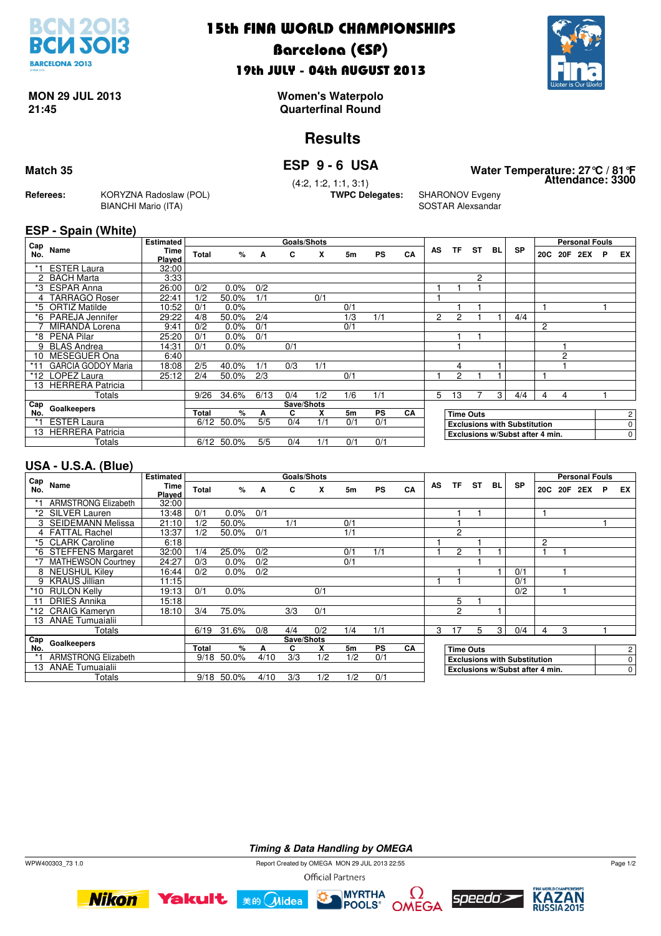

### 15th FINA WORLD CHAMPIONSHIPS

### Barcelona (ESP) 19th JULY - 04th AUGUST 2013



# **MON 29 JUL 2013**

**21:45 Quarterfinal Round Women's Waterpolo**

### **Results**

**Goals/Shots**

**Attendance: 3300 Match 35 ESP 9 - 6 USA Water Temperature: 27°C / 81°F**

**Referees:** KORYZNA Radoslaw (POL) BIANCHI Mario (ITA)

(4:2, 1:2, 1:1, 3:1)

**SHARONOV Evgeny** SOSTAR Alexsandar

#### **ESP - Spain (White) Estimated**

| Cap   |                           | <b>Estimated</b> |              |            |      | <b>Goals/Shots</b> |     |     |           |    |                                 |                                     |                  |    |           |   |         | <b>Personal Fouls</b> |   |    |
|-------|---------------------------|------------------|--------------|------------|------|--------------------|-----|-----|-----------|----|---------------------------------|-------------------------------------|------------------|----|-----------|---|---------|-----------------------|---|----|
| No.   | Name                      | Time<br>Played   | <b>Total</b> | %          | A    | C                  | x   | 5m  | <b>PS</b> | CA | AS                              | ΤF                                  | <b>ST</b>        | BL | <b>SP</b> |   | 20C 20F | 2EX                   | P | EX |
|       | <b>ESTER Laura</b>        | 32:00            |              |            |      |                    |     |     |           |    |                                 |                                     |                  |    |           |   |         |                       |   |    |
|       | 2 BACH Marta              | 3:33             |              |            |      |                    |     |     |           |    |                                 |                                     | 2                |    |           |   |         |                       |   |    |
| *3    | <b>ESPAR Anna</b>         | 26:00            | 0/2          | 0.0%       | 0/2  |                    |     |     |           |    |                                 |                                     |                  |    |           |   |         |                       |   |    |
|       | <b>TARRAGO Roser</b>      | 22:41            | 1/2          | 50.0%      | 1/1  |                    | 0/1 |     |           |    |                                 |                                     |                  |    |           |   |         |                       |   |    |
| *5    | <b>ORTIZ Matilde</b>      | 10:52            | 0/1          | 0.0%       |      |                    |     | 0/1 |           |    |                                 |                                     |                  |    |           |   |         |                       |   |    |
|       | *6 PAREJA Jennifer        | 29:22            | 4/8          | 50.0%      | 2/4  |                    |     | 1/3 | 1/1       |    | $\overline{c}$                  | 2                                   |                  |    | 4/4       |   |         |                       |   |    |
|       | MIRANDA Lorena            | 9:41             | 0/2          | 0.0%       | 0/1  |                    |     | 0/1 |           |    |                                 |                                     |                  |    |           | 2 |         |                       |   |    |
| *8    | <b>PENA Pilar</b>         | 25:20            | 0/1          | 0.0%       | 0/1  |                    |     |     |           |    |                                 |                                     |                  |    |           |   |         |                       |   |    |
| 9     | <b>BLAS Andrea</b>        | 14:31            | 0/1          | 0.0%       |      | 0/1                |     |     |           |    |                                 |                                     |                  |    |           |   |         |                       |   |    |
| 10    | MESEGUER Ona              | 6:40             |              |            |      |                    |     |     |           |    |                                 |                                     |                  |    |           |   | 2       |                       |   |    |
|       | <b>GARCIA GODOY Maria</b> | 18:08            | 2/5          | 40.0%      | 1/1  | 0/3                | 1/1 |     |           |    |                                 | 4                                   |                  |    |           |   |         |                       |   |    |
| *12   | LOPEZ Laura               | 25:12            | 2/4          | 50.0%      | 2/3  |                    |     | 0/1 |           |    |                                 | 2                                   |                  |    |           |   |         |                       |   |    |
| 13    | <b>HERRERA Patricia</b>   |                  |              |            |      |                    |     |     |           |    |                                 |                                     |                  |    |           |   |         |                       |   |    |
|       | Totals                    |                  | 9/26         | 34.6%      | 6/13 | 0/4                | 1/2 | 1/6 | 1/1       |    | 5.                              | 13                                  |                  | 3  | 4/4       | 4 | 4       |                       |   |    |
| Cap   | Goalkeepers               |                  |              |            |      | Save/Shots         |     |     |           |    |                                 |                                     |                  |    |           |   |         |                       |   |    |
| No.   |                           |                  | <b>Total</b> | %          | A    | C                  | X   | 5m  | <b>PS</b> | CA |                                 |                                     | <b>Time Outs</b> |    |           |   |         |                       |   | 2  |
| $* -$ | <b>ESTER Laura</b>        |                  |              | 6/12 50.0% | 5/5  | 0/4                | 1/1 | 0/1 | 0/1       |    |                                 | <b>Exclusions with Substitution</b> |                  |    |           |   |         | 0                     |   |    |
| 13    | <b>HERRERA Patricia</b>   |                  |              |            |      |                    |     |     |           |    | Exclusions w/Subst after 4 min. |                                     |                  |    |           |   | 0       |                       |   |    |
|       | Totals                    |                  |              | 6/12 50.0% | 5/5  | 0/4                | 1/1 | 0/1 | 0/1       |    |                                 |                                     |                  |    |           |   |         |                       |   |    |

#### **USA - U.S.A. (Blue)**

| Cap   |                            | <b>Estimated</b>      |              |       |      | <b>Goals/Shots</b> |     |                |           |    |                                     |                |                  |    |           |                |                | <b>Personal Fouls</b> |   |           |
|-------|----------------------------|-----------------------|--------------|-------|------|--------------------|-----|----------------|-----------|----|-------------------------------------|----------------|------------------|----|-----------|----------------|----------------|-----------------------|---|-----------|
| No.   | Name                       | <b>Time</b><br>Plaved | Total        | %     | A    | C                  | X   | 5m             | <b>PS</b> | CA | <b>AS</b>                           | TF             | <b>ST</b>        | BL | <b>SP</b> | 20C            | 20F            | 2EX                   | P | <b>EX</b> |
|       | <b>ARMSTRONG Elizabeth</b> | 32:00                 |              |       |      |                    |     |                |           |    |                                     |                |                  |    |           |                |                |                       |   |           |
|       | *2 SILVER Lauren           | 13:48                 | 0/1          | 0.0%  | 0/1  |                    |     |                |           |    |                                     |                |                  |    |           |                |                |                       |   |           |
|       | 3 SEIDEMANN Melissa        | 21:10                 | 1/2          | 50.0% |      | 1/1                |     | 0/1            |           |    |                                     |                |                  |    |           |                |                |                       |   |           |
|       | 4 FATTAL Rachel            | 13:37                 | 1/2          | 50.0% | 0/1  |                    |     | 1/1            |           |    |                                     | $\overline{c}$ |                  |    |           |                |                |                       |   |           |
|       | *5 CLARK Caroline          | 6:18                  |              |       |      |                    |     |                |           |    |                                     |                |                  |    |           | 2              |                |                       |   |           |
|       | *6 STEFFENS Margaret       | 32:00                 | 1/4          | 25.0% | 0/2  |                    |     | 0/1            | 1/1       |    |                                     | 2              |                  |    |           |                |                |                       |   |           |
|       | <b>MATHEWSON Courtney</b>  | 24:27                 | 0/3          | 0.0%  | 0/2  |                    |     | 0/1            |           |    |                                     |                |                  |    |           |                |                |                       |   |           |
|       | 8 NEUSHUL Kiley            | 16:44                 | 0/2          | 0.0%  | 0/2  |                    |     |                |           |    |                                     |                |                  |    | 0/1       |                |                |                       |   |           |
|       | 9 KRAUS Jillian            | 11:15                 |              |       |      |                    |     |                |           |    |                                     |                |                  |    | 0/1       |                |                |                       |   |           |
| $*10$ | <b>RULON Kelly</b>         | 19:13                 | 0/1          | 0.0%  |      |                    | 0/1 |                |           |    |                                     |                |                  |    | 0/2       |                |                |                       |   |           |
|       | <b>DRIES Annika</b>        | 15:18                 |              |       |      |                    |     |                |           |    |                                     | 5              |                  |    |           |                |                |                       |   |           |
|       | *12 CRAIG Kameryn          | 18:10                 | 3/4          | 75.0% |      | 3/3                | 0/1 |                |           |    |                                     | $\overline{c}$ |                  |    |           |                |                |                       |   |           |
|       | 13 ANAE Tumuaialii         |                       |              |       |      |                    |     |                |           |    |                                     |                |                  |    |           |                |                |                       |   |           |
|       | Totals                     |                       | 6/19         | 31.6% | 0/8  | 4/4                | 0/2 | 1/4            | 1/1       |    | 3                                   | 17             | 5                | 3  | 0/4       | 4              | 3              |                       |   |           |
| Cap   | Goalkeepers                |                       | Save/Shots   |       |      |                    |     |                |           |    |                                     |                |                  |    |           |                |                |                       |   |           |
| No.   |                            |                       | <b>Total</b> | %     | А    | C                  | X   | 5 <sub>m</sub> | <b>PS</b> | CA |                                     |                | <b>Time Outs</b> |    |           |                |                |                       |   | 2         |
| *1    | <b>ARMSTRONG Elizabeth</b> |                       | 9/18         | 50.0% | 4/10 | 3/3                | 1/2 | 1/2            | 0/1       |    | <b>Exclusions with Substitution</b> |                |                  |    |           |                | $\overline{0}$ |                       |   |           |
| 13    | <b>ANAE Tumuaialii</b>     |                       |              |       |      |                    |     |                |           |    | Exclusions w/Subst after 4 min.     |                |                  |    |           | $\overline{0}$ |                |                       |   |           |
|       | Totals                     |                       | 9/18         | 50.0% | 4/10 | 3/3                | 1/2 | 1/2            | 0/1       |    |                                     |                |                  |    |           |                |                |                       |   |           |

**Timing & Data Handling by OMEGA**

WPW400303\_73 1.0 Report Created by OMEGA MON 29 JUL 2013 22:55 **Official Partners** 

**Nikon Yakult Bin Quidea**